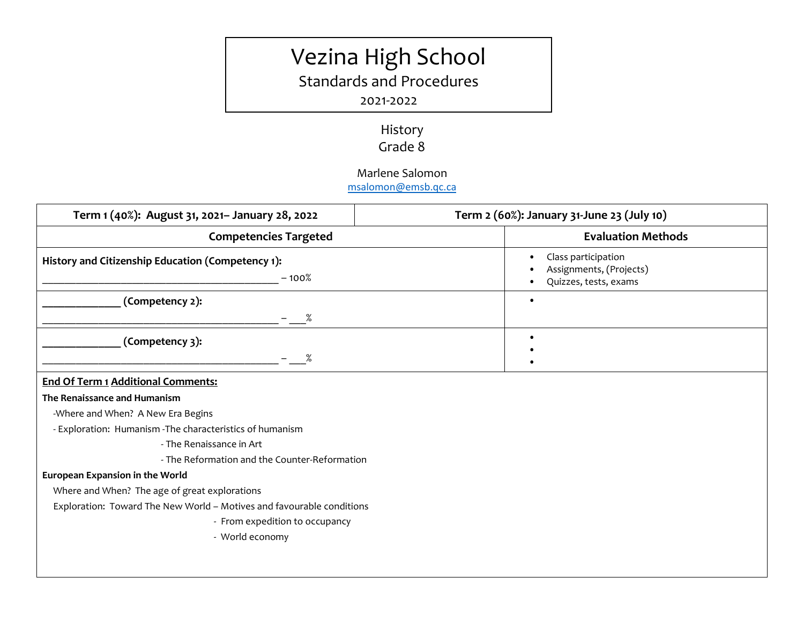# Vezina High School

Standards and Procedures

### 2021-2022

# History Grade 8

## Marlene Salomon

[msalomon@emsb.qc.ca](http://?)

| Term 1 (40%): August 31, 2021- January 28, 2022              | Term 2 (60%): January 31-June 23 (July 10)                              |  |
|--------------------------------------------------------------|-------------------------------------------------------------------------|--|
| <b>Competencies Targeted</b>                                 | <b>Evaluation Methods</b>                                               |  |
| History and Citizenship Education (Competency 1):<br>$-100%$ | Class participation<br>Assignments, (Projects)<br>Quizzes, tests, exams |  |
| (Competency 2):<br>$\%$                                      |                                                                         |  |
| (Competency 3):<br>$\%$                                      |                                                                         |  |

#### **End Of Term 1 Additional Comments:**

#### **The Renaissance and Humanism**

-Where and When? A New Era Begins

- Exploration: Humanism -The characteristics of humanism

- The Renaissance in Art

- The Reformation and the Counter-Reformation

#### **European Expansion in the World**

Where and When? The age of great explorations

Exploration: Toward The New World – Motives and favourable conditions

- From expedition to occupancy
- World economy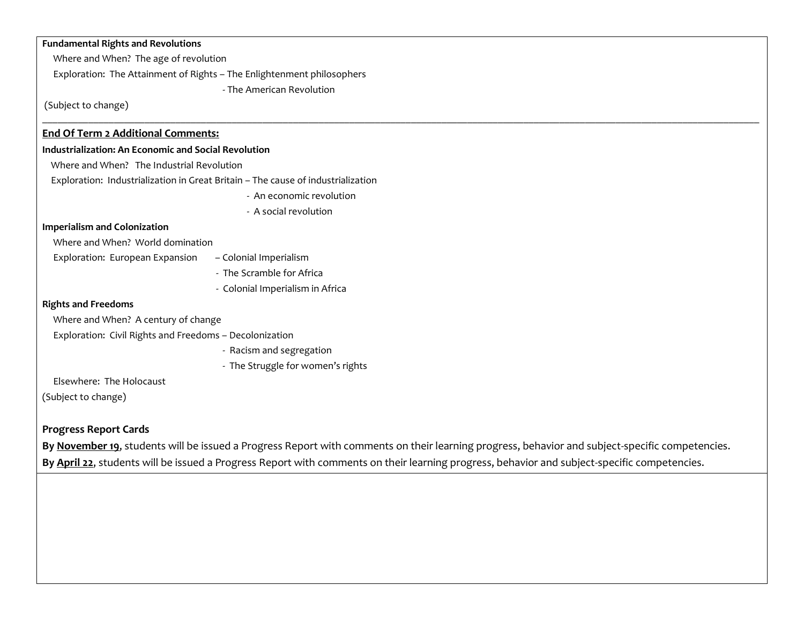| <b>Fundamental Rights and Revolutions</b>                   |                                                                                  |  |
|-------------------------------------------------------------|----------------------------------------------------------------------------------|--|
| Where and When? The age of revolution                       |                                                                                  |  |
|                                                             | Exploration: The Attainment of Rights - The Enlightenment philosophers           |  |
|                                                             | - The American Revolution                                                        |  |
| (Subject to change)                                         |                                                                                  |  |
| <b>End Of Term 2 Additional Comments:</b>                   |                                                                                  |  |
| <b>Industrialization: An Economic and Social Revolution</b> |                                                                                  |  |
| Where and When? The Industrial Revolution                   |                                                                                  |  |
|                                                             | Exploration: Industrialization in Great Britain - The cause of industrialization |  |
|                                                             | - An economic revolution                                                         |  |
|                                                             | - A social revolution                                                            |  |
| <b>Imperialism and Colonization</b>                         |                                                                                  |  |
| Where and When? World domination                            |                                                                                  |  |
| Exploration: European Expansion                             | - Colonial Imperialism                                                           |  |
|                                                             | - The Scramble for Africa                                                        |  |
|                                                             | - Colonial Imperialism in Africa                                                 |  |
| <b>Rights and Freedoms</b>                                  |                                                                                  |  |
| Where and When? A century of change                         |                                                                                  |  |
| Exploration: Civil Rights and Freedoms - Decolonization     |                                                                                  |  |
|                                                             | - Racism and segregation                                                         |  |
|                                                             | - The Struggle for women's rights                                                |  |
| Elsewhere: The Holocaust                                    |                                                                                  |  |
| (Subject to change)                                         |                                                                                  |  |

#### **Progress Report Cards**

**By November 19**, students will be issued a Progress Report with comments on their learning progress, behavior and subject-specific competencies. **By April 22**, students will be issued a Progress Report with comments on their learning progress, behavior and subject-specific competencies.